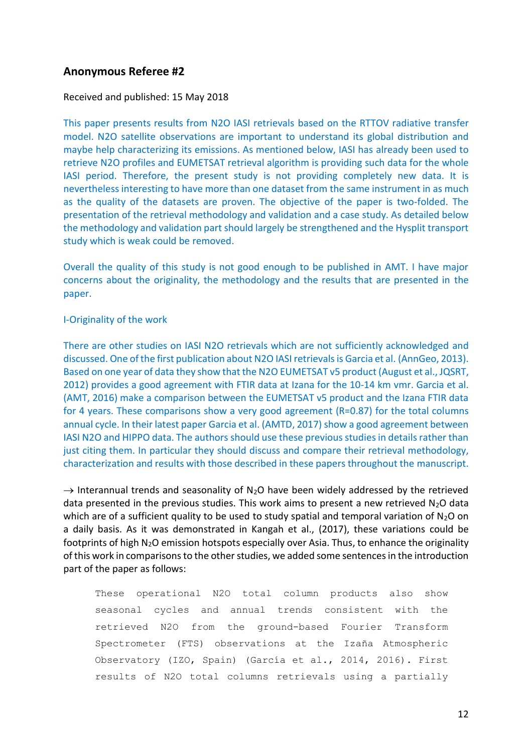# **Anonymous Referee #2**

### Received and published: 15 May 2018

This paper presents results from N2O IASI retrievals based on the RTTOV radiative transfer model. N2O satellite observations are important to understand its global distribution and maybe help characterizing its emissions. As mentioned below, IASI has already been used to retrieve N2O profiles and EUMETSAT retrieval algorithm is providing such data for the whole IASI period. Therefore, the present study is not providing completely new data. It is nevertheless interesting to have more than one dataset from the same instrument in as much as the quality of the datasets are proven. The objective of the paper is two-folded. The presentation of the retrieval methodology and validation and a case study. As detailed below the methodology and validation part should largely be strengthened and the Hysplit transport study which is weak could be removed.

Overall the quality of this study is not good enough to be published in AMT. I have major concerns about the originality, the methodology and the results that are presented in the paper.

### I-Originality of the work

There are other studies on IASI N2O retrievals which are not sufficiently acknowledged and discussed. One of the first publication about N2O IASI retrievals is Garcia et al. (AnnGeo, 2013). Based on one year of data they show that the N2O EUMETSAT v5 product (August et al., JQSRT, 2012) provides a good agreement with FTIR data at Izana for the 10-14 km vmr. Garcia et al. (AMT, 2016) make a comparison between the EUMETSAT v5 product and the Izana FTIR data for 4 years. These comparisons show a very good agreement (R=0.87) for the total columns annual cycle. In their latest paper Garcia et al. (AMTD, 2017) show a good agreement between IASI N2O and HIPPO data. The authors should use these previous studies in details rather than just citing them. In particular they should discuss and compare their retrieval methodology, characterization and results with those described in these papers throughout the manuscript.

 $\rightarrow$  Interannual trends and seasonality of N<sub>2</sub>O have been widely addressed by the retrieved data presented in the previous studies. This work aims to present a new retrieved  $N_2O$  data which are of a sufficient quality to be used to study spatial and temporal variation of  $N_2O$  on a daily basis. As it was demonstrated in Kangah et al., (2017), these variations could be footprints of high N<sub>2</sub>O emission hotspots especially over Asia. Thus, to enhance the originality of this work in comparisons to the other studies, we added some sentences in the introduction part of the paper as follows:

These operational N2O total column products also show seasonal cycles and annual trends consistent with the retrieved N2O from the ground-based Fourier Transform Spectrometer (FTS) observations at the Izaña Atmospheric Observatory (IZO, Spain) (García et al., 2014, 2016). First results of N2O total columns retrievals using a partially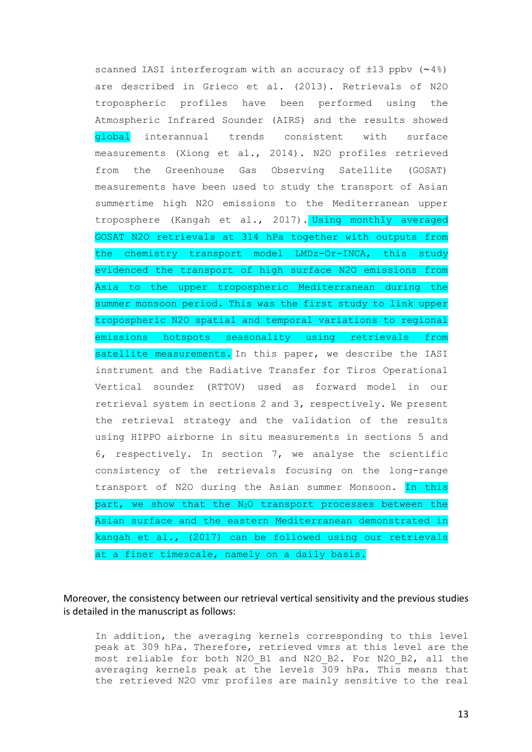scanned IASI interferogram with an accuracy of ±13 ppbv (∼4%) are described in Grieco et al. (2013). Retrievals of N2O tropospheric profiles have been performed using the Atmospheric Infrared Sounder (AIRS) and the results showed global interannual trends consistent with surface measurements (Xiong et al., 2014). N2O profiles retrieved from the Greenhouse Gas Observing Satellite (GOSAT) measurements have been used to study the transport of Asian summertime high N2O emissions to the Mediterranean upper troposphere (Kangah et al., 2017). Using monthly averaged GOSAT N2O retrievals at 314 hPa together with outputs from the chemistry transport model LMDz-Or-INCA, this study evidenced the transport of high surface N2O emissions from Asia to the upper tropospheric Mediterranean during the summer monsoon period. This was the first study to link upper tropospheric N2O spatial and temporal variations to regional emissions hotspots seasonality using retrievals from satellite measurements. In this paper, we describe the IASI instrument and the Radiative Transfer for Tiros Operational Vertical sounder (RTTOV) used as forward model in our retrieval system in sections 2 and 3, respectively. We present the retrieval strategy and the validation of the results using HIPPO airborne in situ measurements in sections 5 and 6, respectively. In section 7, we analyse the scientific consistency of the retrievals focusing on the long-range transport of N2O during the Asian summer Monsoon. In this part, we show that the  $N_2O$  transport processes between the Asian surface and the eastern Mediterranean demonstrated in kangah et al., (2017) can be followed using our retrievals at a finer timescale, namely on a daily basis.

Moreover, the consistency between our retrieval vertical sensitivity and the previous studies is detailed in the manuscript as follows:

In addition, the averaging kernels corresponding to this level peak at 309 hPa. Therefore, retrieved vmrs at this level are the most reliable for both N2O B1 and N2O B2. For N2O B2, all the averaging kernels peak at the levels 309 hPa. This means that the retrieved N2O vmr profiles are mainly sensitive to the real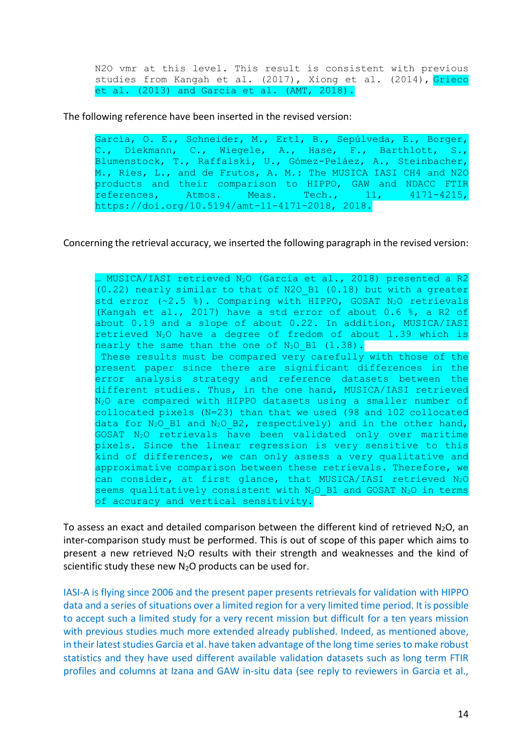N2O vmr at this level. This result is consistent with previous studies from Kangah et al. (2017), Xiong et al. (2014), Grieco et al. (2013) and Garcia et al. (AMT, 2018).

The following reference have been inserted in the revised version:

García, O. E., Schneider, M., Ertl, B., Sepúlveda, E., Borger, C., Diekmann, C., Wiegele, A., Hase, F., Barthlott, S., Blumenstock, T., Raffalski, U., Gómez-Peláez, A., Steinbacher, M., Ries, L., and de Frutos, A. M.: The MUSICA IASI CH4 and N2O products and their comparison to HIPPO, GAW and NDACC FTIR references, Atmos. Meas. Tech., 11, 4171-4215, https://doi.org/10.5194/amt-11-4171-2018, 2018.

Concerning the retrieval accuracy, we inserted the following paragraph in the revised version:

. MUSICA/IASI retrieved  $N_2O$  (Garcia et al., 2018) presented a R2  $(0.22)$  nearly similar to that of N2O B1  $(0.18)$  but with a greater std error  $(*2.5 %)$ . Comparing with HIPPO, GOSAT N<sub>2</sub>O retrievals (Kangah et al., 2017) have a std error of about 0.6 %, a R2 of about 0.19 and a slope of about 0.22. In addition, MUSICA/IASI retrieved  $N_2O$  have a degree of fredom of about 1.39 which is nearly the same than the one of N<sub>2</sub>O B1 (1.38). These results must be compared very carefully with those of the present paper since there are significant differences in the error analysis strategy and reference datasets between the different studies. Thus, in the one hand, MUSICA/IASI retrieved N<sub>2</sub>O are compared with HIPPO datasets using a smaller number of collocated pixels (N=23) than that we used (98 and 102 collocated data for  $N_2O$  B1 and  $N_2O$  B2, respectively) and in the other hand, GOSAT N2O retrievals have been validated only over maritime pixels. Since the linear regression is very sensitive to this kind of differences, we can only assess a very qualitative and approximative comparison between these retrievals. Therefore, we can consider, at first glance, that MUSICA/IASI retrieved N<sub>2</sub>O seems qualitatively consistent with N<sub>2</sub>O B1 and GOSAT N<sub>2</sub>O in terms of accuracy and vertical sensitivity.

To assess an exact and detailed comparison between the different kind of retrieved  $N_2O$ , an inter-comparison study must be performed. This is out of scope of this paper which aims to present a new retrieved  $N_2O$  results with their strength and weaknesses and the kind of scientific study these new  $N_2O$  products can be used for.

IASI-A is flying since 2006 and the present paper presents retrievals for validation with HIPPO data and a series of situations over a limited region for a very limited time period. It is possible to accept such a limited study for a very recent mission but difficult for a ten years mission with previous studies much more extended already published. Indeed, as mentioned above, in their latest studies Garcia et al. have taken advantage of the long time series to make robust statistics and they have used different available validation datasets such as long term FTIR profiles and columns at Izana and GAW in-situ data (see reply to reviewers in Garcia et al.,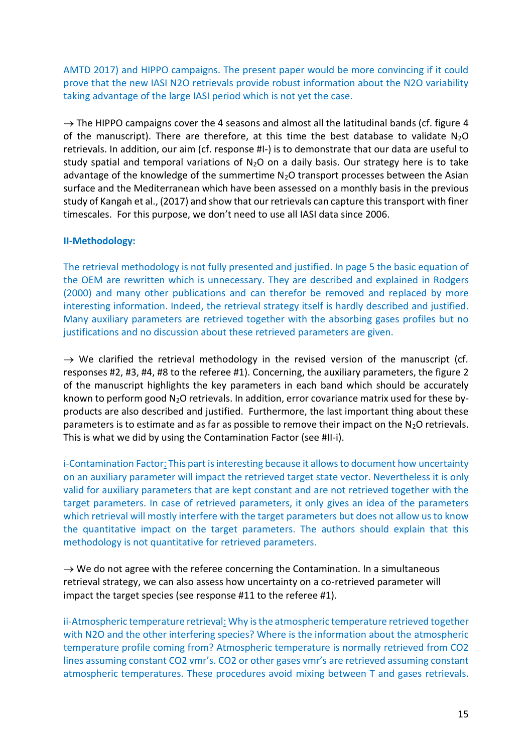AMTD 2017) and HIPPO campaigns. The present paper would be more convincing if it could prove that the new IASI N2O retrievals provide robust information about the N2O variability taking advantage of the large IASI period which is not yet the case.

 $\rightarrow$  The HIPPO campaigns cover the 4 seasons and almost all the latitudinal bands (cf. figure 4 of the manuscript). There are therefore, at this time the best database to validate  $N_2O$ retrievals. In addition, our aim (cf. response #I-) is to demonstrate that our data are useful to study spatial and temporal variations of  $N_2O$  on a daily basis. Our strategy here is to take advantage of the knowledge of the summertime  $N<sub>2</sub>O$  transport processes between the Asian surface and the Mediterranean which have been assessed on a monthly basis in the previous study of Kangah et al., (2017) and show that our retrievals can capture this transport with finer timescales. For this purpose, we don't need to use all IASI data since 2006.

# **II-Methodology:**

The retrieval methodology is not fully presented and justified. In page 5 the basic equation of the OEM are rewritten which is unnecessary. They are described and explained in Rodgers (2000) and many other publications and can therefor be removed and replaced by more interesting information. Indeed, the retrieval strategy itself is hardly described and justified. Many auxiliary parameters are retrieved together with the absorbing gases profiles but no justifications and no discussion about these retrieved parameters are given.

 $\rightarrow$  We clarified the retrieval methodology in the revised version of the manuscript (cf. responses #2, #3, #4, #8 to the referee #1). Concerning, the auxiliary parameters, the figure 2 of the manuscript highlights the key parameters in each band which should be accurately known to perform good  $N_2O$  retrievals. In addition, error covariance matrix used for these byproducts are also described and justified. Furthermore, the last important thing about these parameters is to estimate and as far as possible to remove their impact on the  $N_2O$  retrievals. This is what we did by using the Contamination Factor (see #II-i).

i-Contamination Factor: This part is interesting because it allows to document how uncertainty on an auxiliary parameter will impact the retrieved target state vector. Nevertheless it is only valid for auxiliary parameters that are kept constant and are not retrieved together with the target parameters. In case of retrieved parameters, it only gives an idea of the parameters which retrieval will mostly interfere with the target parameters but does not allow us to know the quantitative impact on the target parameters. The authors should explain that this methodology is not quantitative for retrieved parameters.

 $\rightarrow$  We do not agree with the referee concerning the Contamination. In a simultaneous retrieval strategy, we can also assess how uncertainty on a co-retrieved parameter will impact the target species (see response #11 to the referee #1).

ii-Atmospheric temperature retrieval: Why is the atmospheric temperature retrieved together with N2O and the other interfering species? Where is the information about the atmospheric temperature profile coming from? Atmospheric temperature is normally retrieved from CO2 lines assuming constant CO2 vmr's. CO2 or other gases vmr's are retrieved assuming constant atmospheric temperatures. These procedures avoid mixing between T and gases retrievals.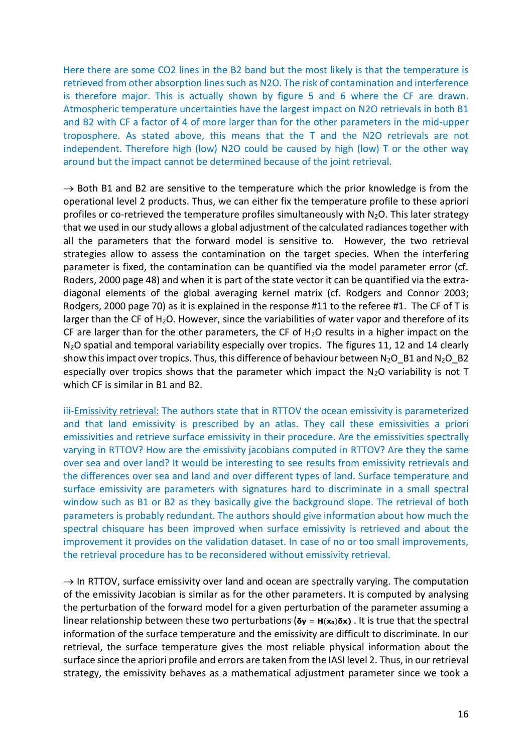Here there are some CO2 lines in the B2 band but the most likely is that the temperature is retrieved from other absorption lines such as N2O. The risk of contamination and interference is therefore major. This is actually shown by figure 5 and 6 where the CF are drawn. Atmospheric temperature uncertainties have the largest impact on N2O retrievals in both B1 and B2 with CF a factor of 4 of more larger than for the other parameters in the mid-upper troposphere. As stated above, this means that the T and the N2O retrievals are not independent. Therefore high (low) N2O could be caused by high (low) T or the other way around but the impact cannot be determined because of the joint retrieval.

 $\rightarrow$  Both B1 and B2 are sensitive to the temperature which the prior knowledge is from the operational level 2 products. Thus, we can either fix the temperature profile to these apriori profiles or co-retrieved the temperature profiles simultaneously with  $N_2O$ . This later strategy that we used in our study allows a global adjustment of the calculated radiances together with all the parameters that the forward model is sensitive to. However, the two retrieval strategies allow to assess the contamination on the target species. When the interfering parameter is fixed, the contamination can be quantified via the model parameter error (cf. Roders, 2000 page 48) and when it is part of the state vector it can be quantified via the extradiagonal elements of the global averaging kernel matrix (cf. Rodgers and Connor 2003; Rodgers, 2000 page 70) as it is explained in the response #11 to the referee #1. The CF of T is larger than the CF of H<sub>2</sub>O. However, since the variabilities of water vapor and therefore of its CF are larger than for the other parameters, the CF of  $H<sub>2</sub>O$  results in a higher impact on the N<sub>2</sub>O spatial and temporal variability especially over tropics. The figures 11, 12 and 14 clearly show this impact over tropics. Thus, this difference of behaviour between  $N_2O$  B1 and  $N_2O$  B2 especially over tropics shows that the parameter which impact the  $N_2O$  variability is not T which CF is similar in B1 and B2.

iii-Emissivity retrieval: The authors state that in RTTOV the ocean emissivity is parameterized and that land emissivity is prescribed by an atlas. They call these emissivities a priori emissivities and retrieve surface emissivity in their procedure. Are the emissivities spectrally varying in RTTOV? How are the emissivity jacobians computed in RTTOV? Are they the same over sea and over land? It would be interesting to see results from emissivity retrievals and the differences over sea and land and over different types of land. Surface temperature and surface emissivity are parameters with signatures hard to discriminate in a small spectral window such as B1 or B2 as they basically give the background slope. The retrieval of both parameters is probably redundant. The authors should give information about how much the spectral chisquare has been improved when surface emissivity is retrieved and about the improvement it provides on the validation dataset. In case of no or too small improvements, the retrieval procedure has to be reconsidered without emissivity retrieval.

 $\rightarrow$  In RTTOV, surface emissivity over land and ocean are spectrally varying. The computation of the emissivity Jacobian is similar as for the other parameters. It is computed by analysing the perturbation of the forward model for a given perturbation of the parameter assuming a linear relationship between these two perturbations (**δy** <sup>=</sup> **<sup>H</sup>**(**x0**)**δx)** . It is true that the spectral information of the surface temperature and the emissivity are difficult to discriminate. In our retrieval, the surface temperature gives the most reliable physical information about the surface since the apriori profile and errors are taken from the IASI level 2. Thus, in our retrieval strategy, the emissivity behaves as a mathematical adjustment parameter since we took a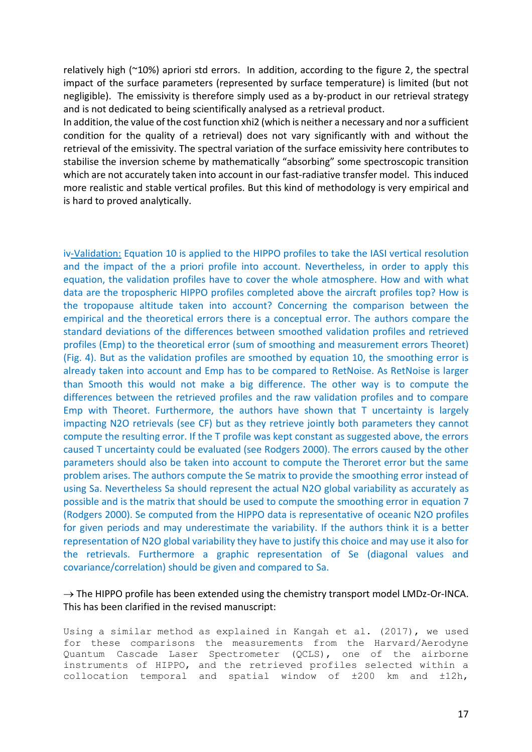relatively high (~10%) apriori std errors. In addition, according to the figure 2, the spectral impact of the surface parameters (represented by surface temperature) is limited (but not negligible). The emissivity is therefore simply used as a by-product in our retrieval strategy and is not dedicated to being scientifically analysed as a retrieval product.

In addition, the value of the cost function xhi2 (which is neither a necessary and nor a sufficient condition for the quality of a retrieval) does not vary significantly with and without the retrieval of the emissivity. The spectral variation of the surface emissivity here contributes to stabilise the inversion scheme by mathematically "absorbing" some spectroscopic transition which are not accurately taken into account in our fast-radiative transfer model. This induced more realistic and stable vertical profiles. But this kind of methodology is very empirical and is hard to proved analytically.

iv-Validation: Equation 10 is applied to the HIPPO profiles to take the IASI vertical resolution and the impact of the a priori profile into account. Nevertheless, in order to apply this equation, the validation profiles have to cover the whole atmosphere. How and with what data are the tropospheric HIPPO profiles completed above the aircraft profiles top? How is the tropopause altitude taken into account? Concerning the comparison between the empirical and the theoretical errors there is a conceptual error. The authors compare the standard deviations of the differences between smoothed validation profiles and retrieved profiles (Emp) to the theoretical error (sum of smoothing and measurement errors Theoret) (Fig. 4). But as the validation profiles are smoothed by equation 10, the smoothing error is already taken into account and Emp has to be compared to RetNoise. As RetNoise is larger than Smooth this would not make a big difference. The other way is to compute the differences between the retrieved profiles and the raw validation profiles and to compare Emp with Theoret. Furthermore, the authors have shown that T uncertainty is largely impacting N2O retrievals (see CF) but as they retrieve jointly both parameters they cannot compute the resulting error. If the T profile was kept constant as suggested above, the errors caused T uncertainty could be evaluated (see Rodgers 2000). The errors caused by the other parameters should also be taken into account to compute the Theroret error but the same problem arises. The authors compute the Se matrix to provide the smoothing error instead of using Sa. Nevertheless Sa should represent the actual N2O global variability as accurately as possible and is the matrix that should be used to compute the smoothing error in equation 7 (Rodgers 2000). Se computed from the HIPPO data is representative of oceanic N2O profiles for given periods and may underestimate the variability. If the authors think it is a better representation of N2O global variability they have to justify this choice and may use it also for the retrievals. Furthermore a graphic representation of Se (diagonal values and covariance/correlation) should be given and compared to Sa.

# $\rightarrow$  The HIPPO profile has been extended using the chemistry transport model LMDz-Or-INCA. This has been clarified in the revised manuscript:

Using a similar method as explained in Kangah et al. (2017), we used for these comparisons the measurements from the Harvard/Aerodyne Quantum Cascade Laser Spectrometer (QCLS), one of the airborne instruments of HIPPO, and the retrieved profiles selected within a collocation temporal and spatial window of ±200 km and ±12h,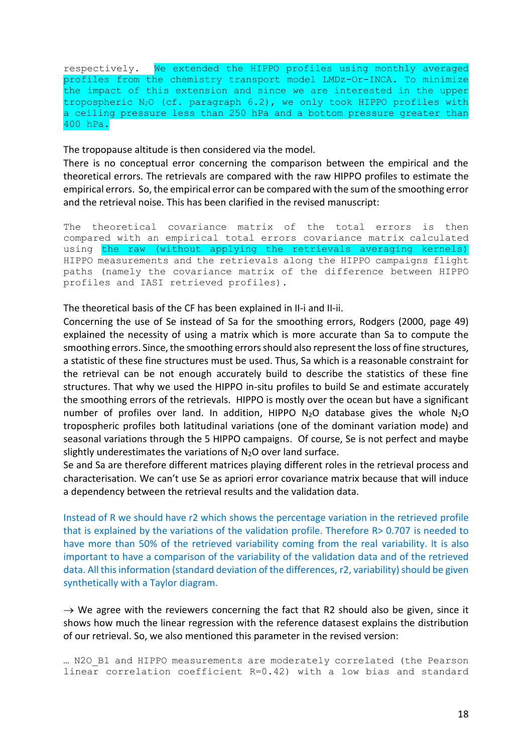respectively. We extended the HIPPO profiles using monthly averaged profiles from the chemistry transport model LMDz-Or-INCA. To minimize the impact of this extension and since we are interested in the upper tropospheric  $N_2O$  (cf. paragraph  $6.2$ ), we only took HIPPO profiles with a ceiling pressure less than 250 hPa and a bottom pressure greater than 400 hPa.

The tropopause altitude is then considered via the model.

There is no conceptual error concerning the comparison between the empirical and the theoretical errors. The retrievals are compared with the raw HIPPO profiles to estimate the empirical errors. So, the empirical error can be compared with the sum of the smoothing error and the retrieval noise. This has been clarified in the revised manuscript:

The theoretical covariance matrix of the total errors is then compared with an empirical total errors covariance matrix calculated using the raw (without applying the retrievals averaging kernels) HIPPO measurements and the retrievals along the HIPPO campaigns flight paths (namely the covariance matrix of the difference between HIPPO profiles and IASI retrieved profiles).

The theoretical basis of the CF has been explained in II-i and II-ii.

Concerning the use of Se instead of Sa for the smoothing errors, Rodgers (2000, page 49) explained the necessity of using a matrix which is more accurate than Sa to compute the smoothing errors. Since, the smoothing errors should also represent the loss of fine structures, a statistic of these fine structures must be used. Thus, Sa which is a reasonable constraint for the retrieval can be not enough accurately build to describe the statistics of these fine structures. That why we used the HIPPO in-situ profiles to build Se and estimate accurately the smoothing errors of the retrievals. HIPPO is mostly over the ocean but have a significant number of profiles over land. In addition, HIPPO  $N_2O$  database gives the whole  $N_2O$ tropospheric profiles both latitudinal variations (one of the dominant variation mode) and seasonal variations through the 5 HIPPO campaigns. Of course, Se is not perfect and maybe slightly underestimates the variations of  $N_2O$  over land surface.

Se and Sa are therefore different matrices playing different roles in the retrieval process and characterisation. We can't use Se as apriori error covariance matrix because that will induce a dependency between the retrieval results and the validation data.

Instead of R we should have r2 which shows the percentage variation in the retrieved profile that is explained by the variations of the validation profile. Therefore R> 0.707 is needed to have more than 50% of the retrieved variability coming from the real variability. It is also important to have a comparison of the variability of the validation data and of the retrieved data. All this information (standard deviation of the differences, r2, variability) should be given synthetically with a Taylor diagram.

 $\rightarrow$  We agree with the reviewers concerning the fact that R2 should also be given, since it shows how much the linear regression with the reference datasest explains the distribution of our retrieval. So, we also mentioned this parameter in the revised version:

```
… N2O_B1 and HIPPO measurements are moderately correlated (the Pearson 
linear correlation coefficient R=0.42) with a low bias and standard
```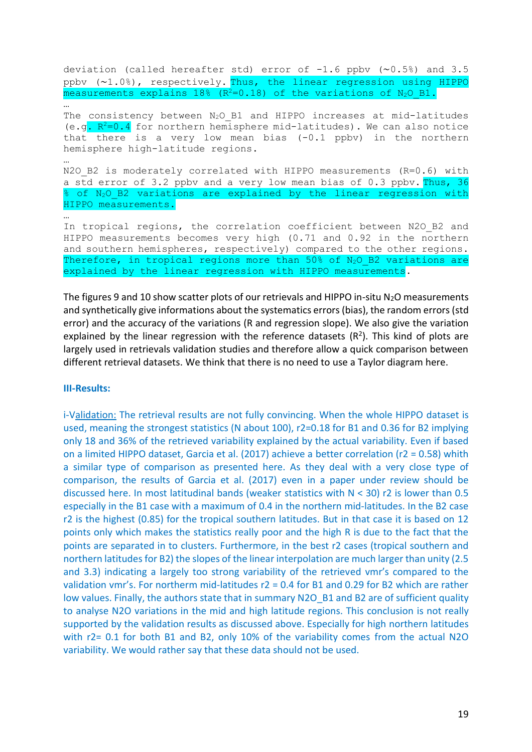deviation (called hereafter std) error of -1.6 ppbv (∼0.5%) and 3.5 ppbv (∼1.0%), respectively. Thus, the linear regression using HIPPO measurements explains  $18\%$  ( $R^2=0.18$ ) of the variations of  $N_2O$  B1. … The consistency between  $N_2O$  B1 and HIPPO increases at mid-latitudes (e.g.  $R^2=0.4$  for northern hemisphere mid-latitudes). We can also notice that there is a very low mean bias  $(-0.1 \text{ pbv})$  in the northern hemisphere high-latitude regions. … N2O B2 is moderately correlated with HIPPO measurements (R=0.6) with a std error of 3.2 ppbv and a very low mean bias of 0.3 ppbv. Thus, 36 % of N<sub>2</sub>O B2 variations are explained by the linear regression with HIPPO measurements. … In tropical regions, the correlation coefficient between N2O B2 and HIPPO measurements becomes very high (0.71 and 0.92 in the northern and southern hemispheres, respectively) compared to the other regions. Therefore, in tropical regions more than  $50\%$  of  $N_2O$  B2 variations are explained by the linear regression with HIPPO measurements.

The figures 9 and 10 show scatter plots of our retrievals and HIPPO in-situ  $N_2O$  measurements and synthetically give informations about the systematics errors (bias), the random errors (std error) and the accuracy of the variations (R and regression slope). We also give the variation explained by the linear regression with the reference datasets  $(R^2)$ . This kind of plots are largely used in retrievals validation studies and therefore allow a quick comparison between different retrieval datasets. We think that there is no need to use a Taylor diagram here.

#### **III-Results:**

i-Validation: The retrieval results are not fully convincing. When the whole HIPPO dataset is used, meaning the strongest statistics (N about 100), r2=0.18 for B1 and 0.36 for B2 implying only 18 and 36% of the retrieved variability explained by the actual variability. Even if based on a limited HIPPO dataset, Garcia et al. (2017) achieve a better correlation (r2 = 0.58) whith a similar type of comparison as presented here. As they deal with a very close type of comparison, the results of Garcia et al. (2017) even in a paper under review should be discussed here. In most latitudinal bands (weaker statistics with  $N < 30$ ) r2 is lower than 0.5 especially in the B1 case with a maximum of 0.4 in the northern mid-latitudes. In the B2 case r2 is the highest (0.85) for the tropical southern latitudes. But in that case it is based on 12 points only which makes the statistics really poor and the high R is due to the fact that the points are separated in to clusters. Furthermore, in the best r2 cases (tropical southern and northern latitudes for B2) the slopes of the linear interpolation are much larger than unity (2.5 and 3.3) indicating a largely too strong variability of the retrieved vmr's compared to the validation vmr's. For northerm mid-latitudes r2 = 0.4 for B1 and 0.29 for B2 which are rather low values. Finally, the authors state that in summary N2O B1 and B2 are of sufficient quality to analyse N2O variations in the mid and high latitude regions. This conclusion is not really supported by the validation results as discussed above. Especially for high northern latitudes with r2= 0.1 for both B1 and B2, only 10% of the variability comes from the actual N2O variability. We would rather say that these data should not be used.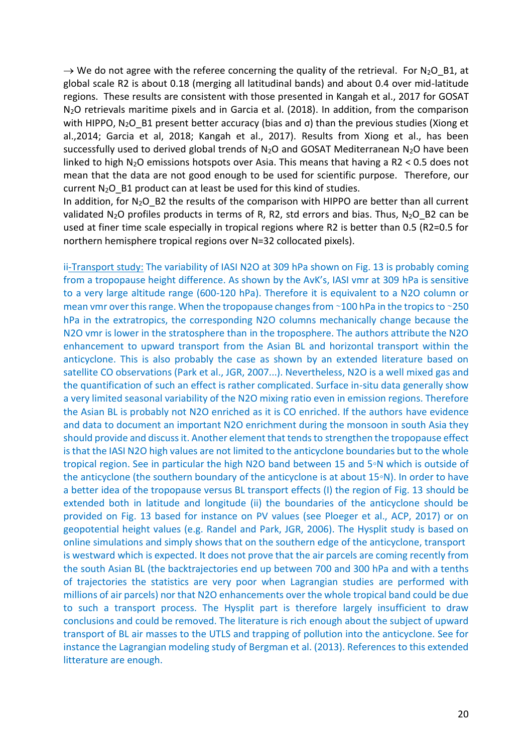$\rightarrow$  We do not agree with the referee concerning the quality of the retrieval. For N<sub>2</sub>O\_B1, at global scale R2 is about 0.18 (merging all latitudinal bands) and about 0.4 over mid-latitude regions. These results are consistent with those presented in Kangah et al., 2017 for GOSAT N2O retrievals maritime pixels and in Garcia et al. (2018). In addition, from the comparison with HIPPO, N<sub>2</sub>O B1 present better accuracy (bias and  $\sigma$ ) than the previous studies (Xiong et al.,2014; Garcia et al, 2018; Kangah et al., 2017). Results from Xiong et al., has been successfully used to derived global trends of  $N_2O$  and GOSAT Mediterranean  $N_2O$  have been linked to high N2O emissions hotspots over Asia. This means that having a R2 < 0.5 does not mean that the data are not good enough to be used for scientific purpose. Therefore, our current  $N_2O$  B1 product can at least be used for this kind of studies.

In addition, for  $N_2O$  B2 the results of the comparison with HIPPO are better than all current validated N<sub>2</sub>O profiles products in terms of R, R2, std errors and bias. Thus, N<sub>2</sub>O B2 can be used at finer time scale especially in tropical regions where R2 is better than 0.5 (R2=0.5 for northern hemisphere tropical regions over N=32 collocated pixels).

ii-Transport study: The variability of IASI N2O at 309 hPa shown on Fig. 13 is probably coming from a tropopause height difference. As shown by the AvK's, IASI vmr at 309 hPa is sensitive to a very large altitude range (600-120 hPa). Therefore it is equivalent to a N2O column or mean vmr over this range. When the tropopause changes from ∼100 hPa in the tropics to ~250 hPa in the extratropics, the corresponding N2O columns mechanically change because the N2O vmr is lower in the stratosphere than in the troposphere. The authors attribute the N2O enhancement to upward transport from the Asian BL and horizontal transport within the anticyclone. This is also probably the case as shown by an extended literature based on satellite CO observations (Park et al., JGR, 2007...). Nevertheless, N2O is a well mixed gas and the quantification of such an effect is rather complicated. Surface in-situ data generally show a very limited seasonal variability of the N2O mixing ratio even in emission regions. Therefore the Asian BL is probably not N2O enriched as it is CO enriched. If the authors have evidence and data to document an important N2O enrichment during the monsoon in south Asia they should provide and discuss it. Another element that tends to strengthen the tropopause effect is that the IASI N2O high values are not limited to the anticyclone boundaries but to the whole tropical region. See in particular the high N2O band between 15 and 5◦N which is outside of the anticyclone (the southern boundary of the anticyclone is at about 15◦N). In order to have a better idea of the tropopause versus BL transport effects (I) the region of Fig. 13 should be extended both in latitude and longitude (ii) the boundaries of the anticyclone should be provided on Fig. 13 based for instance on PV values (see Ploeger et al., ACP, 2017) or on geopotential height values (e.g. Randel and Park, JGR, 2006). The Hysplit study is based on online simulations and simply shows that on the southern edge of the anticyclone, transport is westward which is expected. It does not prove that the air parcels are coming recently from the south Asian BL (the backtrajectories end up between 700 and 300 hPa and with a tenths of trajectories the statistics are very poor when Lagrangian studies are performed with millions of air parcels) nor that N2O enhancements over the whole tropical band could be due to such a transport process. The Hysplit part is therefore largely insufficient to draw conclusions and could be removed. The literature is rich enough about the subject of upward transport of BL air masses to the UTLS and trapping of pollution into the anticyclone. See for instance the Lagrangian modeling study of Bergman et al. (2013). References to this extended litterature are enough.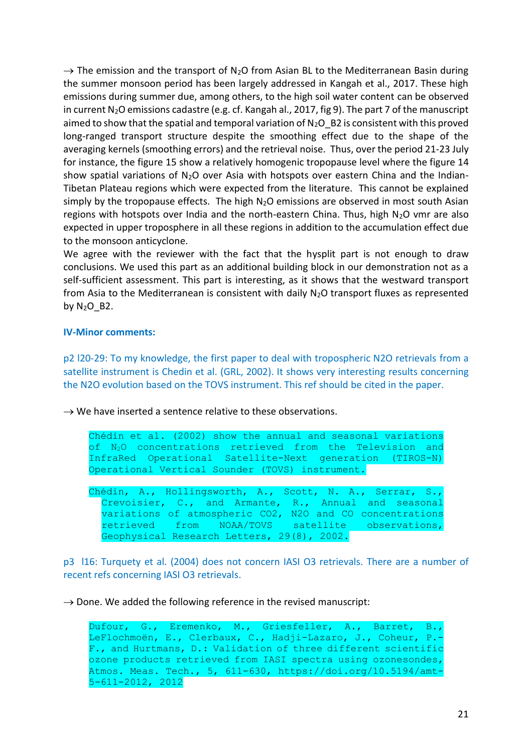$\rightarrow$  The emission and the transport of N<sub>2</sub>O from Asian BL to the Mediterranean Basin during the summer monsoon period has been largely addressed in Kangah et al., 2017. These high emissions during summer due, among others, to the high soil water content can be observed in current  $N_2O$  emissions cadastre (e.g. cf. Kangah al., 2017, fig 9). The part 7 of the manuscript aimed to show that the spatial and temporal variation of  $N_2O$  B2 is consistent with this proved long-ranged transport structure despite the smoothing effect due to the shape of the averaging kernels (smoothing errors) and the retrieval noise. Thus, over the period 21-23 July for instance, the figure 15 show a relatively homogenic tropopause level where the figure 14 show spatial variations of  $N_2O$  over Asia with hotspots over eastern China and the Indian-Tibetan Plateau regions which were expected from the literature. This cannot be explained simply by the tropopause effects. The high  $N_2O$  emissions are observed in most south Asian regions with hotspots over India and the north-eastern China. Thus, high  $N_2O$  vmr are also expected in upper troposphere in all these regions in addition to the accumulation effect due to the monsoon anticyclone.

We agree with the reviewer with the fact that the hysplit part is not enough to draw conclusions. We used this part as an additional building block in our demonstration not as a self-sufficient assessment. This part is interesting, as it shows that the westward transport from Asia to the Mediterranean is consistent with daily  $N_2O$  transport fluxes as represented by  $N_2O$  B2.

## **IV-Minor comments:**

p2 l20-29: To my knowledge, the first paper to deal with tropospheric N2O retrievals from a satellite instrument is Chedin et al. (GRL, 2002). It shows very interesting results concerning the N2O evolution based on the TOVS instrument. This ref should be cited in the paper.

 $\rightarrow$  We have inserted a sentence relative to these observations.

Chédin et al. (2002) show the annual and seasonal variations of N2O concentrations retrieved from the Television and InfraRed Operational Satellite-Next generation (TIROS-N) Operational Vertical Sounder (TOVS) instrument.

Chédin, A., Hollingsworth, A., Scott, N. A., Serrar, S., Crevoisier, C., and Armante, R., Annual and seasonal variations of atmospheric CO2, N2O and CO concentrations retrieved from NOAA/TOVS satellite observations, Geophysical Research Letters, 29(8), 2002.

p3 l16: Turquety et al. (2004) does not concern IASI O3 retrievals. There are a number of recent refs concerning IASI O3 retrievals.

 $\rightarrow$  Done. We added the following reference in the revised manuscript:

Dufour, G., Eremenko, M., Griesfeller, A., Barret, B., LeFlochmoën, E., Clerbaux, C., Hadji-Lazaro, J., Coheur, P.- F., and Hurtmans, D.: Validation of three different scientific ozone products retrieved from IASI spectra using ozonesondes, Atmos. Meas. Tech., 5, 611-630, https://doi.org/10.5194/amt-5-611-2012, 2012